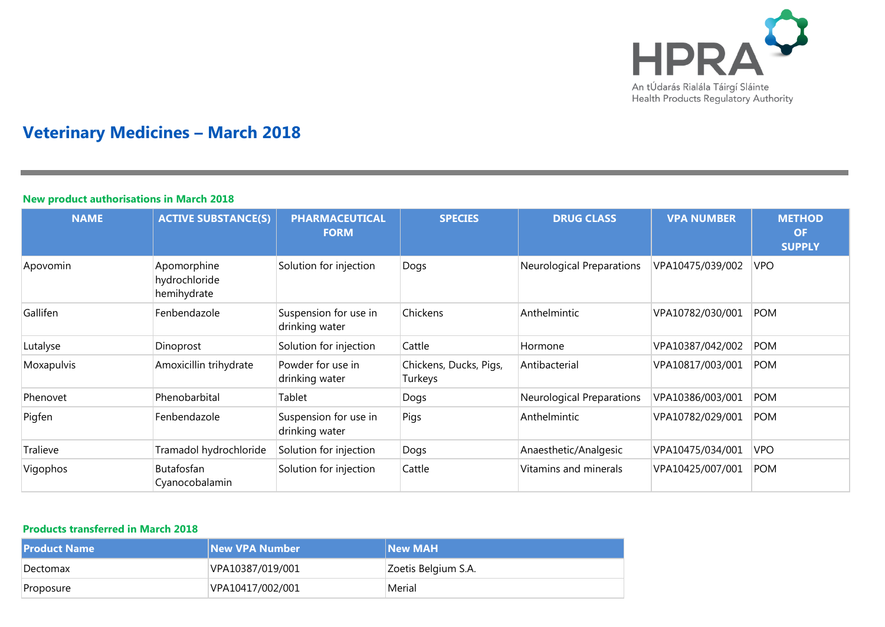

# **Veterinary Medicines – March 2018**

### **New product authorisations in March 2018**

| <b>NAME</b> | <b>ACTIVE SUBSTANCE(S)</b>                  | <b>PHARMACEUTICAL</b><br><b>FORM</b>    | <b>SPECIES</b>                    | <b>DRUG CLASS</b>                | <b>VPA NUMBER</b> | <b>METHOD</b><br><b>OF</b><br><b>SUPPLY</b> |
|-------------|---------------------------------------------|-----------------------------------------|-----------------------------------|----------------------------------|-------------------|---------------------------------------------|
| Apovomin    | Apomorphine<br>hydrochloride<br>hemihydrate | Solution for injection                  | Dogs                              | <b>Neurological Preparations</b> | VPA10475/039/002  | <b>VPO</b>                                  |
| Gallifen    | Fenbendazole                                | Suspension for use in<br>drinking water | Chickens                          | Anthelmintic                     | VPA10782/030/001  | <b>POM</b>                                  |
| Lutalyse    | Dinoprost                                   | Solution for injection                  | Cattle                            | Hormone                          | VPA10387/042/002  | <b>POM</b>                                  |
| Moxapulvis  | Amoxicillin trihydrate                      | Powder for use in<br>drinking water     | Chickens, Ducks, Pigs,<br>Turkeys | Antibacterial                    | VPA10817/003/001  | <b>POM</b>                                  |
| Phenovet    | Phenobarbital                               | Tablet                                  | Dogs                              | <b>Neurological Preparations</b> | VPA10386/003/001  | <b>POM</b>                                  |
| Pigfen      | Fenbendazole                                | Suspension for use in<br>drinking water | Pigs                              | Anthelmintic                     | VPA10782/029/001  | <b>POM</b>                                  |
| Tralieve    | Tramadol hydrochloride                      | Solution for injection                  | Dogs                              | Anaesthetic/Analgesic            | VPA10475/034/001  | <b>VPO</b>                                  |
| Vigophos    | Butafosfan<br>Cyanocobalamin                | Solution for injection                  | Cattle                            | Vitamins and minerals            | VPA10425/007/001  | <b>POM</b>                                  |

### **Products transferred in March 2018**

| <b>Product Name</b> | <b>New VPA Number</b> | <b>New MAH</b>      |
|---------------------|-----------------------|---------------------|
| Dectomax            | VPA10387/019/001      | Zoetis Belgium S.A. |
| Proposure           | VPA10417/002/001      | Merial              |